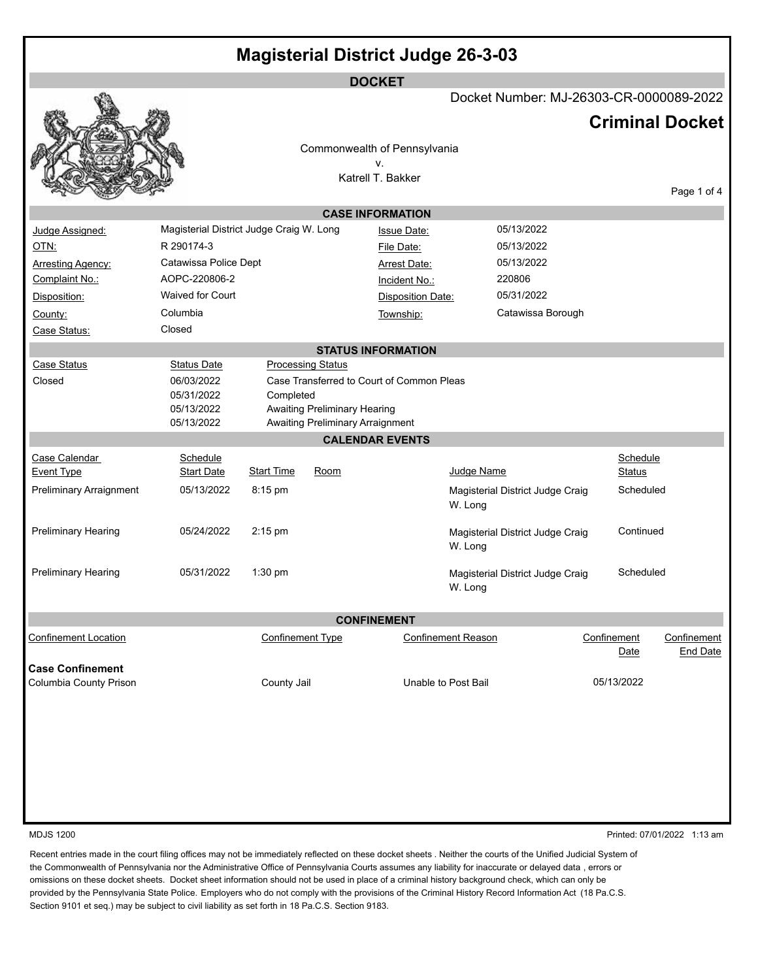| <b>Magisterial District Judge 26-3-03</b>         |                                          |                                         |                                         |                                           |                                             |  |                        |                 |
|---------------------------------------------------|------------------------------------------|-----------------------------------------|-----------------------------------------|-------------------------------------------|---------------------------------------------|--|------------------------|-----------------|
| <b>DOCKET</b>                                     |                                          |                                         |                                         |                                           |                                             |  |                        |                 |
|                                                   |                                          | Docket Number: MJ-26303-CR-0000089-2022 |                                         |                                           |                                             |  |                        |                 |
|                                                   |                                          |                                         |                                         |                                           |                                             |  | <b>Criminal Docket</b> |                 |
|                                                   |                                          |                                         |                                         | Commonwealth of Pennsylvania              |                                             |  |                        |                 |
|                                                   |                                          |                                         |                                         | ٧.<br>Katrell T. Bakker                   |                                             |  |                        |                 |
|                                                   |                                          |                                         |                                         |                                           |                                             |  |                        | Page 1 of 4     |
|                                                   |                                          |                                         |                                         | <b>CASE INFORMATION</b>                   |                                             |  |                        |                 |
| Judge Assigned:                                   | Magisterial District Judge Craig W. Long |                                         |                                         | <b>Issue Date:</b>                        | 05/13/2022                                  |  |                        |                 |
| <u>OTN:</u>                                       | R 290174-3                               |                                         |                                         | File Date:                                | 05/13/2022                                  |  |                        |                 |
| <b>Arresting Agency:</b>                          | Catawissa Police Dept                    |                                         |                                         | <b>Arrest Date:</b>                       | 05/13/2022                                  |  |                        |                 |
| Complaint No.:                                    | AOPC-220806-2                            |                                         |                                         | Incident No.:                             | 220806                                      |  |                        |                 |
| Disposition:                                      | <b>Waived for Court</b>                  |                                         |                                         | <b>Disposition Date:</b>                  | 05/31/2022                                  |  |                        |                 |
| County:                                           | Columbia                                 |                                         |                                         | Township:                                 | Catawissa Borough                           |  |                        |                 |
| Case Status:                                      | Closed                                   |                                         |                                         |                                           |                                             |  |                        |                 |
|                                                   |                                          |                                         |                                         | <b>STATUS INFORMATION</b>                 |                                             |  |                        |                 |
| Case Status                                       | <b>Status Date</b>                       |                                         | <b>Processing Status</b>                |                                           |                                             |  |                        |                 |
| Closed                                            | 06/03/2022                               |                                         |                                         | Case Transferred to Court of Common Pleas |                                             |  |                        |                 |
|                                                   | 05/31/2022<br>05/13/2022                 | Completed                               | Awaiting Preliminary Hearing            |                                           |                                             |  |                        |                 |
|                                                   | 05/13/2022                               |                                         | <b>Awaiting Preliminary Arraignment</b> |                                           |                                             |  |                        |                 |
|                                                   |                                          |                                         |                                         | <b>CALENDAR EVENTS</b>                    |                                             |  |                        |                 |
| Case Calendar                                     | Schedule                                 |                                         |                                         |                                           |                                             |  | Schedule               |                 |
| <b>Event Type</b>                                 | <b>Start Date</b>                        | <b>Start Time</b>                       | Room                                    |                                           | Judge Name                                  |  | <b>Status</b>          |                 |
| <b>Preliminary Arraignment</b>                    | 05/13/2022                               | 8:15 pm                                 |                                         |                                           | Magisterial District Judge Craig<br>W. Long |  | Scheduled              |                 |
| <b>Preliminary Hearing</b>                        | 05/24/2022                               | 2:15 pm                                 |                                         |                                           | Magisterial District Judge Craig<br>W. Long |  | Continued              |                 |
|                                                   |                                          |                                         |                                         |                                           |                                             |  |                        |                 |
| <b>Preliminary Hearing</b>                        | 05/31/2022                               | $1:30$ pm                               |                                         |                                           | Magisterial District Judge Craig<br>W. Long |  | Scheduled              |                 |
| <b>CONFINEMENT</b>                                |                                          |                                         |                                         |                                           |                                             |  |                        |                 |
| <b>Confinement Location</b>                       |                                          | <b>Confinement Type</b>                 |                                         |                                           | <b>Confinement Reason</b>                   |  | Confinement            | Confinement     |
|                                                   |                                          |                                         |                                         |                                           |                                             |  | Date                   | <b>End Date</b> |
| <b>Case Confinement</b><br>Columbia County Prison |                                          | County Jail                             |                                         |                                           | Unable to Post Bail                         |  | 05/13/2022             |                 |
|                                                   |                                          |                                         |                                         |                                           |                                             |  |                        |                 |
|                                                   |                                          |                                         |                                         |                                           |                                             |  |                        |                 |
|                                                   |                                          |                                         |                                         |                                           |                                             |  |                        |                 |
|                                                   |                                          |                                         |                                         |                                           |                                             |  |                        |                 |
|                                                   |                                          |                                         |                                         |                                           |                                             |  |                        |                 |
|                                                   |                                          |                                         |                                         |                                           |                                             |  |                        |                 |
|                                                   |                                          |                                         |                                         |                                           |                                             |  |                        |                 |

MDJS 1200 Printed: 07/01/2022 1:13 am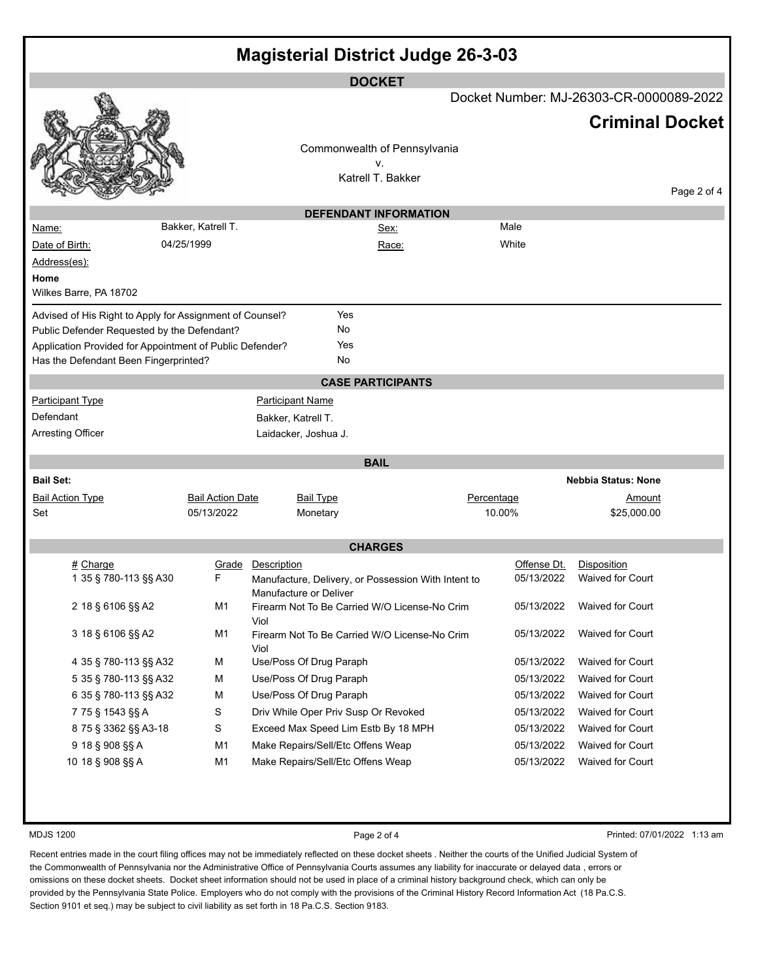| <b>Magisterial District Judge 26-3-03</b>                |                         |                                                                         |                              |             |                                         |             |
|----------------------------------------------------------|-------------------------|-------------------------------------------------------------------------|------------------------------|-------------|-----------------------------------------|-------------|
|                                                          |                         |                                                                         | <b>DOCKET</b>                |             |                                         |             |
|                                                          |                         |                                                                         |                              |             | Docket Number: MJ-26303-CR-0000089-2022 |             |
|                                                          |                         |                                                                         |                              |             | <b>Criminal Docket</b>                  |             |
|                                                          |                         |                                                                         | Commonwealth of Pennsylvania |             |                                         |             |
|                                                          |                         |                                                                         | ٧.<br>Katrell T. Bakker      |             |                                         |             |
|                                                          |                         |                                                                         |                              |             |                                         | Page 2 of 4 |
|                                                          |                         |                                                                         | <b>DEFENDANT INFORMATION</b> |             |                                         |             |
| <u>Name:</u>                                             | Bakker, Katrell T.      |                                                                         | Sex:                         | Male        |                                         |             |
| Date of Birth:                                           | 04/25/1999              |                                                                         | Race:                        | White       |                                         |             |
| Address(es):                                             |                         |                                                                         |                              |             |                                         |             |
| Home                                                     |                         |                                                                         |                              |             |                                         |             |
| Wilkes Barre, PA 18702                                   |                         |                                                                         |                              |             |                                         |             |
| Advised of His Right to Apply for Assignment of Counsel? |                         | Yes                                                                     |                              |             |                                         |             |
| Public Defender Requested by the Defendant?              |                         | No                                                                      |                              |             |                                         |             |
| Application Provided for Appointment of Public Defender? |                         | Yes                                                                     |                              |             |                                         |             |
| Has the Defendant Been Fingerprinted?                    |                         | No                                                                      |                              |             |                                         |             |
|                                                          |                         |                                                                         | <b>CASE PARTICIPANTS</b>     |             |                                         |             |
| <b>Participant Type</b>                                  |                         | <b>Participant Name</b>                                                 |                              |             |                                         |             |
| Defendant                                                |                         | Bakker, Katrell T.                                                      |                              |             |                                         |             |
| <b>Arresting Officer</b>                                 |                         | Laidacker, Joshua J.                                                    |                              |             |                                         |             |
|                                                          |                         |                                                                         | <b>BAIL</b>                  |             |                                         |             |
| <b>Bail Set:</b>                                         |                         |                                                                         |                              |             | Nebbia Status: None                     |             |
| <b>Bail Action Type</b>                                  | <b>Bail Action Date</b> | <b>Bail Type</b>                                                        |                              | Percentage  | Amount                                  |             |
| Set                                                      | 05/13/2022              | Monetary                                                                |                              | 10.00%      | \$25,000.00                             |             |
|                                                          |                         |                                                                         |                              |             |                                         |             |
|                                                          |                         |                                                                         | <b>CHARGES</b>               |             |                                         |             |
| # Charge                                                 | Grade                   | Description                                                             |                              | Offense Dt. | Disposition                             |             |
| 1 35 § 780-113 §§ A30                                    | F                       | Manufacture, Delivery, or Possession With Intent to                     |                              | 05/13/2022  | <b>Waived for Court</b>                 |             |
| 2 18 § 6106 §§ A2                                        | M1                      | Manufacture or Deliver<br>Firearm Not To Be Carried W/O License-No Crim |                              | 05/13/2022  | <b>Waived for Court</b>                 |             |
|                                                          |                         | Viol                                                                    |                              |             |                                         |             |
| 3 18 § 6106 §§ A2                                        | M1                      | Firearm Not To Be Carried W/O License-No Crim<br>Viol                   |                              | 05/13/2022  | <b>Waived for Court</b>                 |             |
| 4 35 § 780-113 §§ A32                                    | м                       | Use/Poss Of Drug Paraph                                                 |                              | 05/13/2022  | Waived for Court                        |             |
| 5 35 § 780-113 §§ A32                                    | М                       | Use/Poss Of Drug Paraph                                                 |                              | 05/13/2022  | <b>Waived for Court</b>                 |             |
| 6 35 § 780-113 §§ A32                                    | М                       | Use/Poss Of Drug Paraph<br>05/13/2022                                   |                              |             | <b>Waived for Court</b>                 |             |
| 7 75 § 1543 §§ A                                         | S                       | Driv While Oper Priv Susp Or Revoked                                    |                              | 05/13/2022  | Waived for Court                        |             |
| 8 75 § 3362 §§ A3-18                                     | $\mathbb S$             | Exceed Max Speed Lim Estb By 18 MPH                                     |                              | 05/13/2022  | <b>Waived for Court</b>                 |             |
| 9 18 § 908 §§ A                                          | M1                      | Make Repairs/Sell/Etc Offens Weap                                       |                              | 05/13/2022  | <b>Waived for Court</b>                 |             |
| 10 18 § 908 §§ A                                         | M1                      | Make Repairs/Sell/Etc Offens Weap<br>05/13/2022<br>Waived for Court     |                              |             |                                         |             |
|                                                          |                         |                                                                         |                              |             |                                         |             |

MDJS 1200 **Page 2 of 4** Printed: 07/01/2022 1:13 am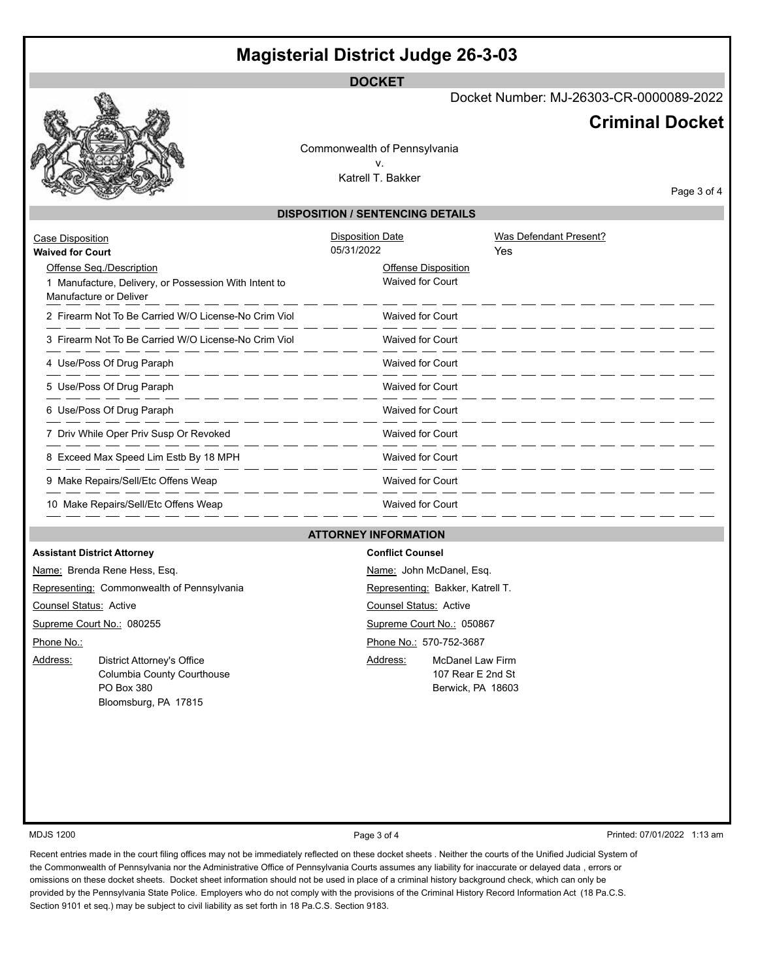## **Magisterial District Judge 26-3-03**

**DOCKET**

Docket Number: MJ-26303-CR-0000089-2022

## **Criminal Docket**

Commonwealth of Pennsylvania v. Katrell T. Bakker

Page 3 of 4

## **DISPOSITION / SENTENCING DETAILS**

| Case Disposition<br><b>Waived for Court</b>                                                                 | <b>Disposition Date</b><br>05/31/2022          | Was Defendant Present?<br>Yes |
|-------------------------------------------------------------------------------------------------------------|------------------------------------------------|-------------------------------|
| Offense Seq./Description<br>1 Manufacture, Delivery, or Possession With Intent to<br>Manufacture or Deliver | Offense Disposition<br><b>Waived for Court</b> |                               |
| 2 Firearm Not To Be Carried W/O License-No Crim Viol                                                        | <b>Waived for Court</b>                        |                               |
| 3 Firearm Not To Be Carried W/O License-No Crim Viol                                                        | <b>Waived for Court</b>                        |                               |
| 4 Use/Poss Of Drug Paraph                                                                                   | <b>Waived for Court</b>                        |                               |
| 5 Use/Poss Of Drug Paraph                                                                                   | <b>Waived for Court</b>                        |                               |
| 6 Use/Poss Of Drug Paraph                                                                                   | <b>Waived for Court</b>                        |                               |
| 7 Driv While Oper Priv Susp Or Revoked                                                                      | <b>Waived for Court</b>                        |                               |
| 8 Exceed Max Speed Lim Estb By 18 MPH                                                                       | <b>Waived for Court</b>                        |                               |
| 9 Make Repairs/Sell/Etc Offens Weap                                                                         | <b>Waived for Court</b>                        |                               |
| 10 Make Repairs/Sell/Etc Offens Weap                                                                        | <b>Waived for Court</b>                        |                               |

## **ATTORNEY INFORMATION**

|                               | <b>Assistant District Attorney</b>                                                             |                         | <b>Conflict Counsel</b>                                           |  |  |
|-------------------------------|------------------------------------------------------------------------------------------------|-------------------------|-------------------------------------------------------------------|--|--|
|                               | Name: Brenda Rene Hess, Esq.                                                                   |                         | Name: John McDanel, Esq.                                          |  |  |
|                               | Representing: Commonwealth of Pennsylvania                                                     |                         | Representing: Bakker, Katrell T.                                  |  |  |
| <b>Counsel Status: Active</b> |                                                                                                |                         | Counsel Status: Active                                            |  |  |
| Supreme Court No.: 080255     |                                                                                                |                         | Supreme Court No.: 050867                                         |  |  |
| Phone No.:                    |                                                                                                | Phone No.: 570-752-3687 |                                                                   |  |  |
| Address:                      | District Attorney's Office<br>Columbia County Courthouse<br>PO Box 380<br>Bloomsburg, PA 17815 | Address:                | <b>McDanel Law Firm</b><br>107 Rear E 2nd St<br>Berwick, PA 18603 |  |  |

MDJS 1200 **Page 3 of 4** Printed: 07/01/2022 1:13 am